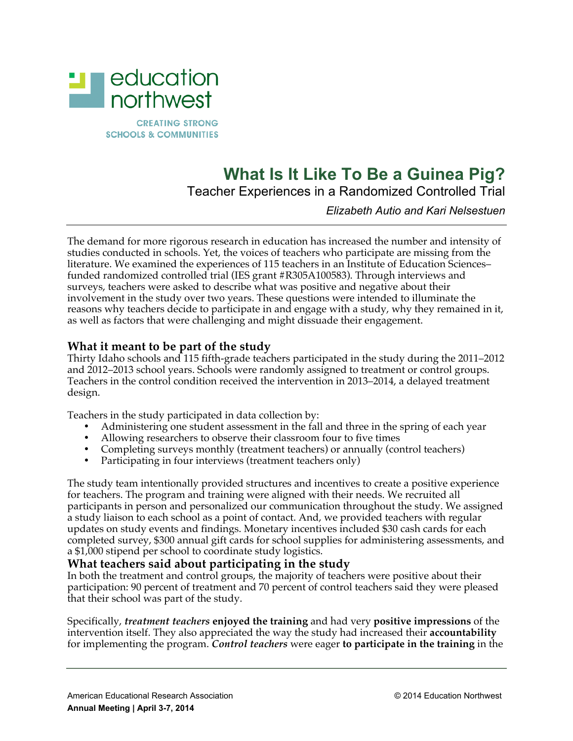

# **What Is It Like To Be a Guinea Pig?**

Teacher Experiences in a Randomized Controlled Trial

# *Elizabeth Autio and Kari Nelsestuen*

The demand for more rigorous research in education has increased the number and intensity of studies conducted in schools. Yet, the voices of teachers who participate are missing from the literature. We examined the experiences of 115 teachers in an Institute of Education Sciences– funded randomized controlled trial (IES grant #R305A100583). Through interviews and surveys, teachers were asked to describe what was positive and negative about their involvement in the study over two years. These questions were intended to illuminate the reasons why teachers decide to participate in and engage with a study, why they remained in it, as well as factors that were challenging and might dissuade their engagement.

# **What it meant to be part of the study**

Thirty Idaho schools and 115 fifth-grade teachers participated in the study during the 2011–2012 and 2012–2013 school years. Schools were randomly assigned to treatment or control groups. Teachers in the control condition received the intervention in 2013–2014, a delayed treatment design.

Teachers in the study participated in data collection by:

- Administering one student assessment in the fall and three in the spring of each year
- Allowing researchers to observe their classroom four to five times
- Completing surveys monthly (treatment teachers) or annually (control teachers)
- Participating in four interviews (treatment teachers only)

The study team intentionally provided structures and incentives to create a positive experience for teachers. The program and training were aligned with their needs. We recruited all participants in person and personalized our communication throughout the study. We assigned a study liaison to each school as a point of contact. And, we provided teachers with regular updates on study events and findings. Monetary incentives included \$30 cash cards for each completed survey, \$300 annual gift cards for school supplies for administering assessments, and a \$1,000 stipend per school to coordinate study logistics.

### **What teachers said about participating in the study**

In both the treatment and control groups, the majority of teachers were positive about their participation: 90 percent of treatment and 70 percent of control teachers said they were pleased that their school was part of the study.

Specifically, *treatment teachers* **enjoyed the training** and had very **positive impressions** of the intervention itself. They also appreciated the way the study had increased their **accountability** for implementing the program. *Control teachers* were eager **to participate in the training** in the